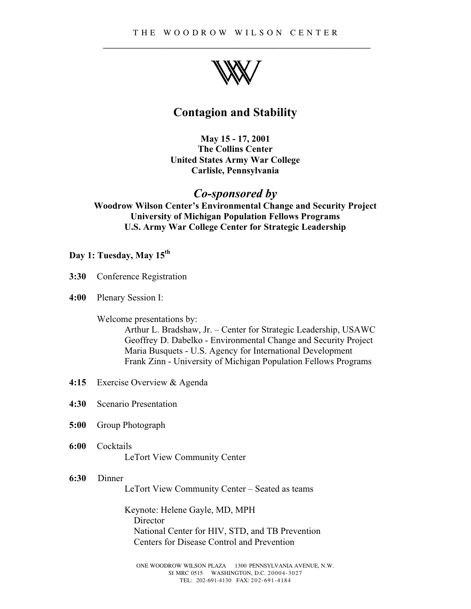

# **Contagion and Stability**

**May 15 - 17, 2001 The Collins Center United States Army War College Carlisle, Pennsylvania**

## *Co-sponsored by*

**Woodrow Wilson Center's Environmental Change and Security Project University of Michigan Population Fellows Programs U.S. Army War College Center for Strategic Leadership**

#### **Day 1: Tuesday, May 15th**

- **3:30** Conference Registration
- **4:00** Plenary Session I:

#### Welcome presentations by:

Arthur L. Bradshaw, Jr. – Center for Strategic Leadership, USAWC Geoffrey D. Dabelko - Environmental Change and Security Project Maria Busquets - U.S. Agency for International Development Frank Zinn - University of Michigan Population Fellows Programs

- **4:15** Exercise Overview & Agenda
- **4:30** Scenario Presentation
- **5:00** Group Photograph
- **6:00** Cocktails LeTort View Community Center

#### **6:30** Dinner

LeTort View Community Center – Seated as teams

Keynote: Helene Gayle, MD, MPH Director National Center for HIV, STD, and TB Prevention Centers for Disease Control and Prevention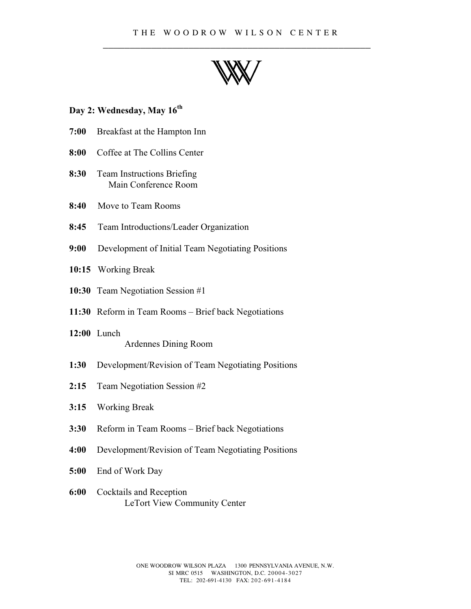

#### **Day 2: Wednesday, May 16th**

- **7:00** Breakfast at the Hampton Inn
- **8:00** Coffee at The Collins Center
- **8:30** Team Instructions Briefing Main Conference Room
- **8:40** Move to Team Rooms
- **8:45** Team Introductions/Leader Organization
- **9:00** Development of Initial Team Negotiating Positions
- **10:15** Working Break
- **10:30** Team Negotiation Session #1
- **11:30** Reform in Team Rooms Brief back Negotiations
- **12:00** Lunch Ardennes Dining Room
- **1:30** Development/Revision of Team Negotiating Positions
- **2:15** Team Negotiation Session #2
- **3:15** Working Break
- **3:30** Reform in Team Rooms Brief back Negotiations
- **4:00** Development/Revision of Team Negotiating Positions
- **5:00** End of Work Day
- **6:00** Cocktails and Reception LeTort View Community Center